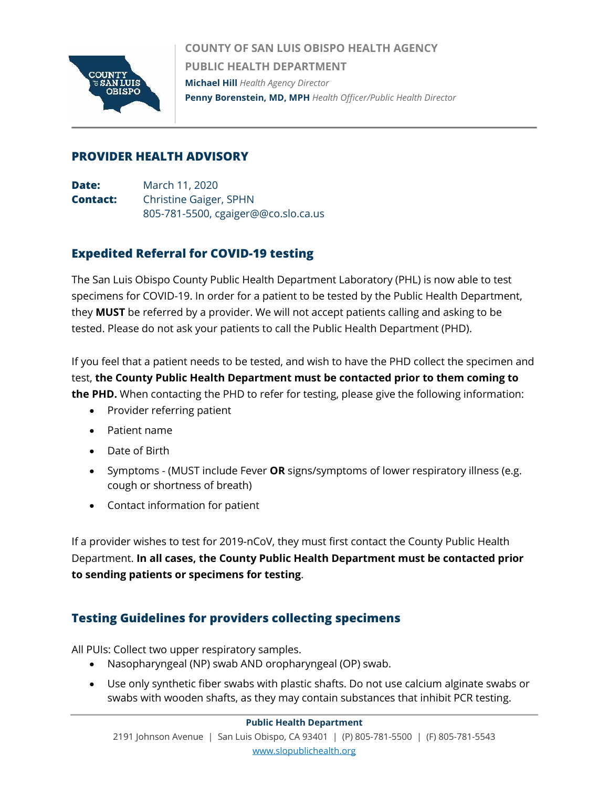

**COUNTY OF SAN LUIS OBISPO HEALTH AGENCY PUBLIC HEALTH DEPARTMENT Michael Hill** *Health Agency Director* **Penny Borenstein, MD, MPH** *Health Officer/Public Health Director*

## **PROVIDER HEALTH ADVISORY**

**Date:** March 11, 2020 **Contact:** Christine Gaiger, SPHN 805-781-5500, cgaiger@@co.slo.ca.us

## **Expedited Referral for COVID-19 testing**

The San Luis Obispo County Public Health Department Laboratory (PHL) is now able to test specimens for COVID-19. In order for a patient to be tested by the Public Health Department, they **MUST** be referred by a provider. We will not accept patients calling and asking to be tested. Please do not ask your patients to call the Public Health Department (PHD).

If you feel that a patient needs to be tested, and wish to have the PHD collect the specimen and test, **the County Public Health Department must be contacted prior to them coming to the PHD.** When contacting the PHD to refer for testing, please give the following information:

- Provider referring patient
- Patient name
- Date of Birth
- Symptoms (MUST include Fever **OR** signs/symptoms of lower respiratory illness (e.g. cough or shortness of breath)
- Contact information for patient

If a provider wishes to test for 2019-nCoV, they must first contact the County Public Health Department. **In all cases, the County Public Health Department must be contacted prior to sending patients or specimens for testing**.

## **Testing Guidelines for providers collecting specimens**

All PUIs: Collect two upper respiratory samples.

- Nasopharyngeal (NP) swab AND oropharyngeal (OP) swab.
- Use only synthetic fiber swabs with plastic shafts. Do not use calcium alginate swabs or swabs with wooden shafts, as they may contain substances that inhibit PCR testing.